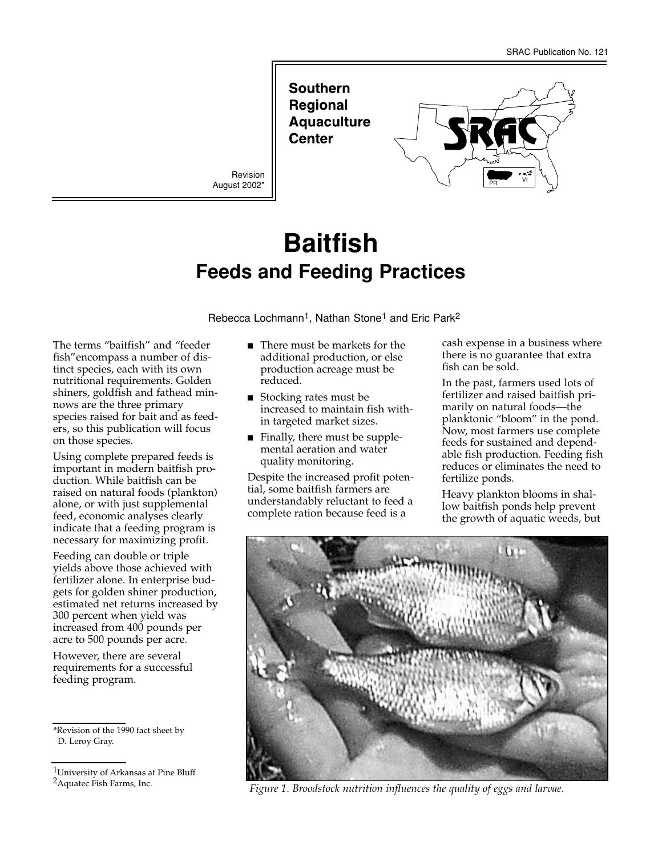**Southern** Regional **Aquaculture Center** 

Revision August 2002\*



# **Baitfish Feeds and Feeding Practices**

Rebecca Lochmann<sup>1</sup>, Nathan Stone<sup>1</sup> and Eric Park<sup>2</sup>

The terms "baitfish" and "feeder fish"encompass a number of distinct species, each with its own nutritional requirements. Golden shiners, goldfish and fathead minnows are the three primary species raised for bait and as feeders, so this publication will focus on those species.

Using complete prepared feeds is important in modern baitfish production. While baitfish can be raised on natural foods (plankton) alone, or with just supplemental feed, economic analyses clearly indicate that a feeding program is necessary for maximizing profit.

Feeding can double or triple yields above those achieved with fertilizer alone. In enterprise budgets for golden shiner production, estimated net returns increased by 300 percent when yield was increased from 400 pounds per acre to 500 pounds per acre.

However, there are several requirements for a successful feeding program.

\*Revision of the 1990 fact sheet by D. Leroy Gray.

- There must be markets for the additional production, or else production acreage must be reduced.
- Stocking rates must be increased to maintain fish within targeted market sizes.
- Finally, there must be supplemental aeration and water quality monitoring.

Despite the increased profit potential, some baitfish farmers are understandably reluctant to feed a complete ration because feed is a

cash expense in a business where there is no guarantee that extra fish can be sold.

In the past, farmers used lots of fertilizer and raised baitfish primarily on natural foods—the planktonic "bloom" in the pond. Now, most farmers use complete feeds for sustained and dependable fish production. Feeding fish reduces or eliminates the need to fertilize ponds.

Heavy plankton blooms in shallow baitfish ponds help prevent the growth of aquatic weeds, but



*Figure 1. Broodstock nutrition influences the quality of eggs and larvae.*

<sup>1</sup>University of Arkansas at Pine Bluff 2Aquatec Fish Farms, Inc.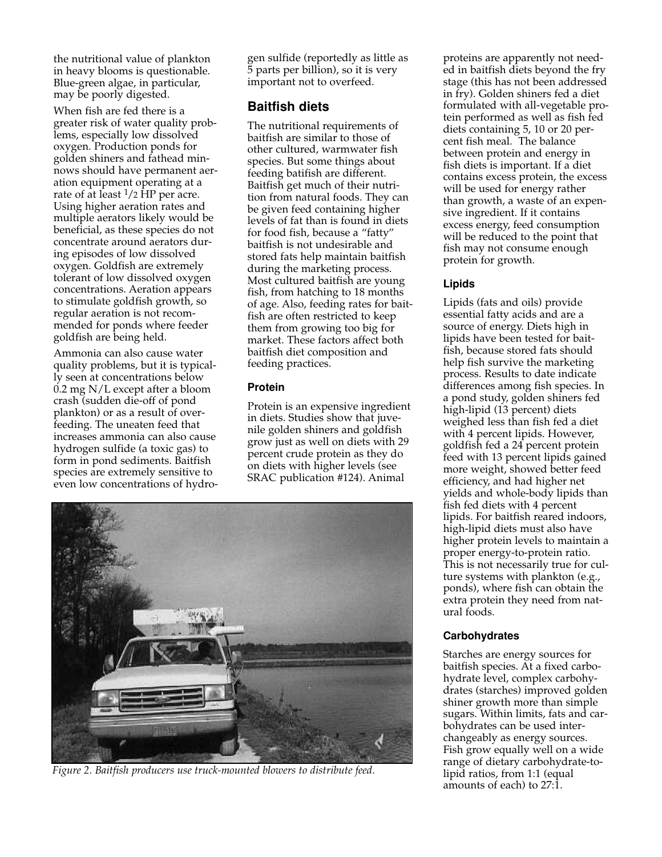the nutritional value of plankton in heavy blooms is questionable. Blue-green algae, in particular, may be poorly digested.

When fish are fed there is a greater risk of water quality problems, especially low dissolved oxygen. Production ponds for golden shiners and fathead minnows should have permanent aeration equipment operating at a rate of at least  $\frac{1}{2}$  HP per acre. Using higher aeration rates and multiple aerators likely would be beneficial, as these species do not concentrate around aerators during episodes of low dissolved oxygen. Goldfish are extremely tolerant of low dissolved oxygen concentrations. Aeration appears to stimulate goldfish growth, so regular aeration is not recommended for ponds where feeder goldfish are being held.

Ammonia can also cause water quality problems, but it is typically seen at concentrations below 0.2 mg N/L except after a bloom crash (sudden die-off of pond plankton) or as a result of overfeeding. The uneaten feed that increases ammonia can also cause hydrogen sulfide (a toxic gas) to form in pond sediments. Baitfish species are extremely sensitive to even low concentrations of hydrogen sulfide (reportedly as little as 5 parts per billion), so it is very important not to overfeed.

## **Baitfish diets**

The nutritional requirements of baitfish are similar to those of other cultured, warmwater fish species. But some things about feeding batifish are different. Baitfish get much of their nutrition from natural foods. They can be given feed containing higher levels of fat than is found in diets for food fish, because a "fatty" baitfish is not undesirable and stored fats help maintain baitfish during the marketing process. Most cultured baitfish are young fish, from hatching to 18 months of age. Also, feeding rates for baitfish are often restricted to keep them from growing too big for market. These factors affect both baitfish diet composition and feeding practices.

## **Protein**

Protein is an expensive ingredient in diets. Studies show that juvenile golden shiners and goldfish grow just as well on diets with 29 percent crude protein as they do on diets with higher levels (see SRAC publication #124). Animal



*Figure 2. Baitfish producers use truck-mounted blowers to distribute feed.*

proteins are apparently not needed in baitfish diets beyond the fry stage (this has not been addressed in fry). Golden shiners fed a diet formulated with all-vegetable protein performed as well as fish fed diets containing 5, 10 or 20 percent fish meal. The balance between protein and energy in fish diets is important. If a diet contains excess protein, the excess will be used for energy rather than growth, a waste of an expensive ingredient. If it contains excess energy, feed consumption will be reduced to the point that fish may not consume enough protein for growth.

## **Lipids**

Lipids (fats and oils) provide essential fatty acids and are a source of energy. Diets high in lipids have been tested for baitfish, because stored fats should help fish survive the marketing process. Results to date indicate differences among fish species. In a pond study, golden shiners fed high-lipid (13 percent) diets weighed less than fish fed a diet with 4 percent lipids. However, goldfish fed a 24 percent protein feed with 13 percent lipids gained more weight, showed better feed efficiency, and had higher net yields and whole-body lipids than fish fed diets with 4 percent lipids. For baitfish reared indoors, high-lipid diets must also have higher protein levels to maintain a proper energy-to-protein ratio. This is not necessarily true for culture systems with plankton (e.g., ponds), where fish can obtain the extra protein they need from natural foods.

## **Carbohydrates**

Starches are energy sources for baitfish species. At a fixed carbohydrate level, complex carbohydrates (starches) improved golden shiner growth more than simple sugars. Within limits, fats and carbohydrates can be used interchangeably as energy sources. Fish grow equally well on a wide range of dietary carbohydrate-tolipid ratios, from 1:1 (equal amounts of each) to 27:1.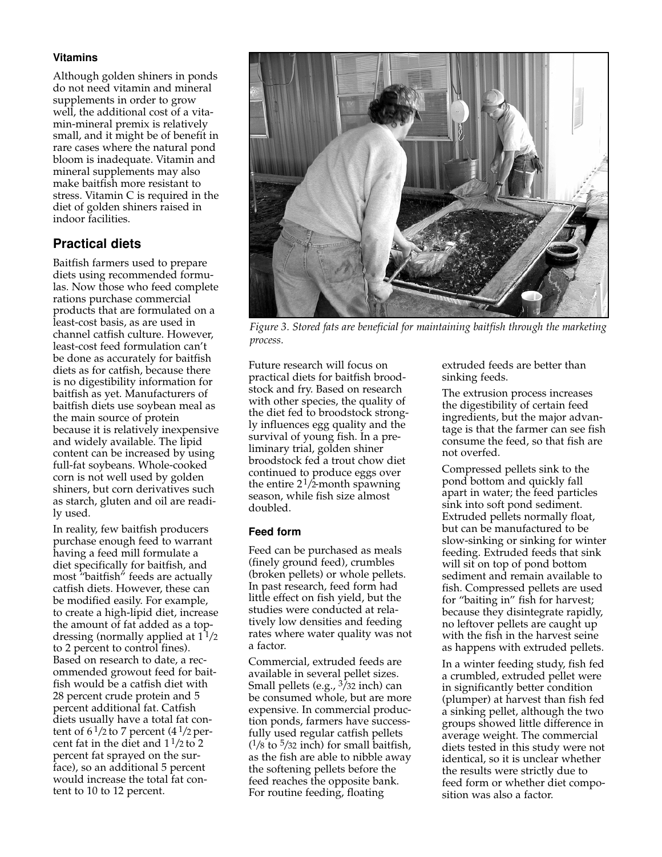#### **Vitamins**

Although golden shiners in ponds do not need vitamin and mineral supplements in order to grow well, the additional cost of a vitamin-mineral premix is relatively small, and it might be of benefit in rare cases where the natural pond bloom is inadequate. Vitamin and mineral supplements may also make baitfish more resistant to stress. Vitamin C is required in the diet of golden shiners raised in indoor facilities.

## **Practical diets**

Baitfish farmers used to prepare diets using recommended formulas. Now those who feed complete rations purchase commercial products that are formulated on a least-cost basis, as are used in channel catfish culture. However, least-cost feed formulation can't be done as accurately for baitfish diets as for catfish, because there is no digestibility information for baitfish as yet. Manufacturers of baitfish diets use soybean meal as the main source of protein because it is relatively inexpensive and widely available. The lipid content can be increased by using full-fat soybeans. Whole-cooked corn is not well used by golden shiners, but corn derivatives such as starch, gluten and oil are readily used.

In reality, few baitfish producers purchase enough feed to warrant having a feed mill formulate a diet specifically for baitfish, and most "baitfish" feeds are actually catfish diets. However, these can be modified easily. For example, to create a high-lipid diet, increase the amount of fat added as a topdressing (normally applied at  $1\frac{1}{2}$ to 2 percent to control fines). Based on research to date, a recommended growout feed for baitfish would be a catfish diet with 28 percent crude protein and 5 percent additional fat. Catfish diets usually have a total fat content of  $6\frac{1}{2}$  to 7 percent  $\left(\frac{4\frac{1}{2}}{2}\right)$  percent fat in the diet and  $1\frac{1}{2}$  to 2 percent fat sprayed on the surface), so an additional 5 percent would increase the total fat content to 10 to 12 percent.



*Figure 3. Stored fats are beneficial for maintaining baitfish through the marketing process.*

Future research will focus on practical diets for baitfish broodstock and fry. Based on research with other species, the quality of the diet fed to broodstock strongly influences egg quality and the survival of young fish. In a preliminary trial, golden shiner broodstock fed a trout chow diet continued to produce eggs over the entire  $2^{1/2}$ -month spawning season, while fish size almost doubled.

#### **Feed form**

Feed can be purchased as meals (finely ground feed), crumbles (broken pellets) or whole pellets. In past research, feed form had little effect on fish yield, but the studies were conducted at relatively low densities and feeding rates where water quality was not a factor.

Commercial, extruded feeds are available in several pellet sizes. Small pellets (e.g.,  $\frac{3}{3}$  inch) can be consumed whole, but are more expensive. In commercial production ponds, farmers have successfully used regular catfish pellets  $(1/8$  to  $\frac{5}{32}$  inch) for small baitfish, as the fish are able to nibble away the softening pellets before the feed reaches the opposite bank. For routine feeding, floating

extruded feeds are better than sinking feeds.

The extrusion process increases the digestibility of certain feed ingredients, but the major advantage is that the farmer can see fish consume the feed, so that fish are not overfed.

Compressed pellets sink to the pond bottom and quickly fall apart in water; the feed particles sink into soft pond sediment. Extruded pellets normally float, but can be manufactured to be slow-sinking or sinking for winter feeding. Extruded feeds that sink will sit on top of pond bottom sediment and remain available to fish. Compressed pellets are used for "baiting in" fish for harvest; because they disintegrate rapidly, no leftover pellets are caught up with the fish in the harvest seine as happens with extruded pellets.

In a winter feeding study, fish fed a crumbled, extruded pellet were in significantly better condition (plumper) at harvest than fish fed a sinking pellet, although the two groups showed little difference in average weight. The commercial diets tested in this study were not identical, so it is unclear whether the results were strictly due to feed form or whether diet composition was also a factor.